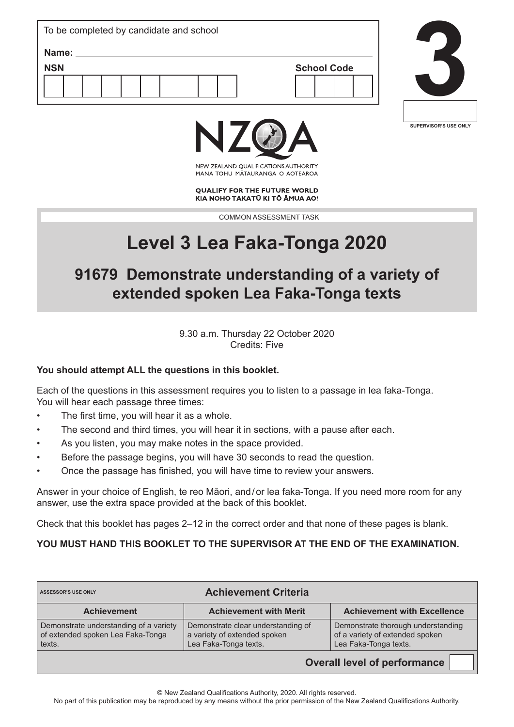| To be completed by candidate and school |  |  |  |  |  |  |                    |  |  |  |  |
|-----------------------------------------|--|--|--|--|--|--|--------------------|--|--|--|--|
| Name:                                   |  |  |  |  |  |  |                    |  |  |  |  |
| <b>NSN</b>                              |  |  |  |  |  |  | <b>School Code</b> |  |  |  |  |
|                                         |  |  |  |  |  |  |                    |  |  |  |  |
|                                         |  |  |  |  |  |  |                    |  |  |  |  |





NEW ZEALAND OUALIFICATIONS AUTHORITY MANA TOHU MATAURANGA O AOTEAROA

**OUALIFY FOR THE FUTURE WORLD** KIA NOHO TAKATŪ KI TŌ ĀMUA AO!

COMMON ASSESSMENT TASK

# **Level 3 Lea Faka-Tonga 2020**

# **91679 Demonstrate understanding of a variety of extended spoken Lea Faka-Tonga texts**

9.30 a.m. Thursday 22 October 2020 Credits: Five

# **You should attempt ALL the questions in this booklet.**

Each of the questions in this assessment requires you to listen to a passage in lea faka-Tonga. You will hear each passage three times:

- The first time, you will hear it as a whole.
- The second and third times, you will hear it in sections, with a pause after each.
- As you listen, you may make notes in the space provided.
- Before the passage begins, you will have 30 seconds to read the question.
- Once the passage has finished, you will have time to review your answers.

Answer in your choice of English, te reo Māori, and/or lea faka-Tonga. If you need more room for any answer, use the extra space provided at the back of this booklet.

Check that this booklet has pages 2–12 in the correct order and that none of these pages is blank.

#### **YOU MUST HAND THIS BOOKLET TO THE SUPERVISOR AT THE END OF THE EXAMINATION.**

| <b>Achievement with Merit</b><br><b>Achievement with Excellence</b>                                                                  |
|--------------------------------------------------------------------------------------------------------------------------------------|
|                                                                                                                                      |
| Demonstrate thorough understanding<br>Demonstrate clear understanding of<br>of a variety of extended spoken<br>Lea Faka-Tonga texts. |
|                                                                                                                                      |

**Overall level of performance**

© New Zealand Qualifications Authority, 2020. All rights reserved.

No part of this publication may be reproduced by any means without the prior permission of the New Zealand Qualifications Authority.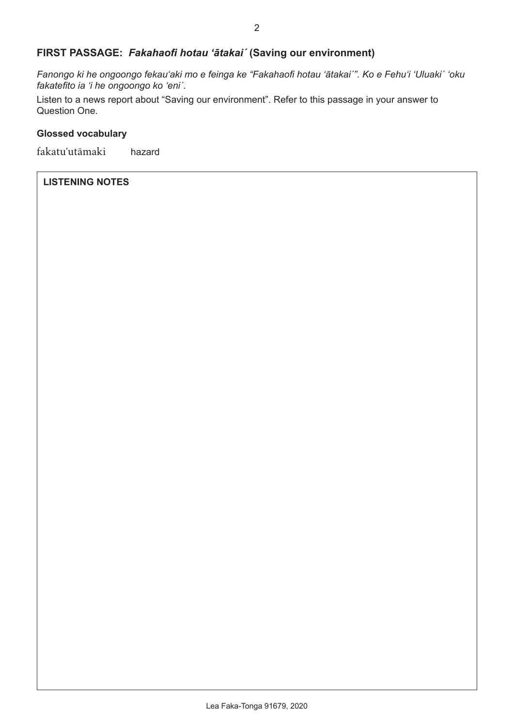# **FIRST PASSAGE:** *Fakahaofi hotau 'ātakaiˊ* **(Saving our environment)**

*Fanongo ki he ongoongo fekau'aki mo e feinga ke "Fakahaofi hotau 'ātakaiˊ". Ko e Fehuʻi 'Uluakiˊ 'oku fakatefito ia 'i he ongoongo ko ʻeniˊ.*

Listen to a news report about "Saving our environment". Refer to this passage in your answer to Question One.

#### **Glossed vocabulary**

fakatuʻutāmaki hazard

#### **LISTENING NOTES**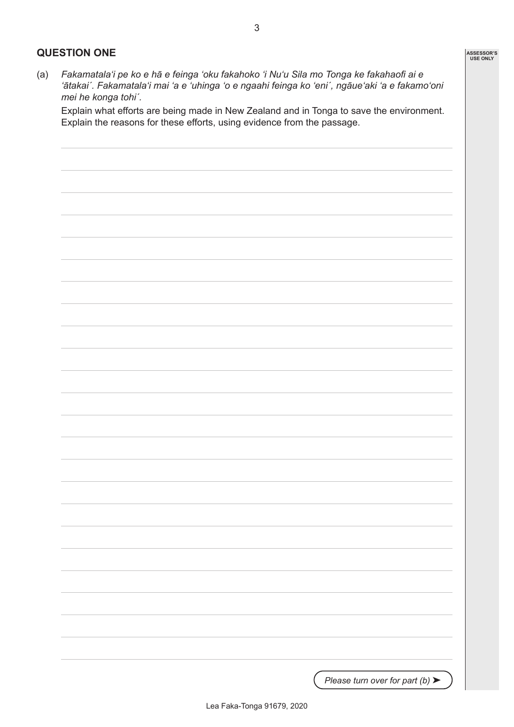### **QUESTION ONE**

(a) *Fakamatalaʻi pe ko e hā e feinga 'oku fakahoko 'i Nuʻu Sila mo Tonga ke fakahaofi ai e 'ātakaiˊ. Fakamatalaʻi mai 'a e 'uhinga 'o e ngaahi feinga ko ʻeniˊ, ngāue'aki 'a e fakamo'oni mei he konga tohiˊ.*

Explain what efforts are being made in New Zealand and in Tonga to save the environment. Explain the reasons for these efforts, using evidence from the passage.

3

*Please turn over for part (b)* ▶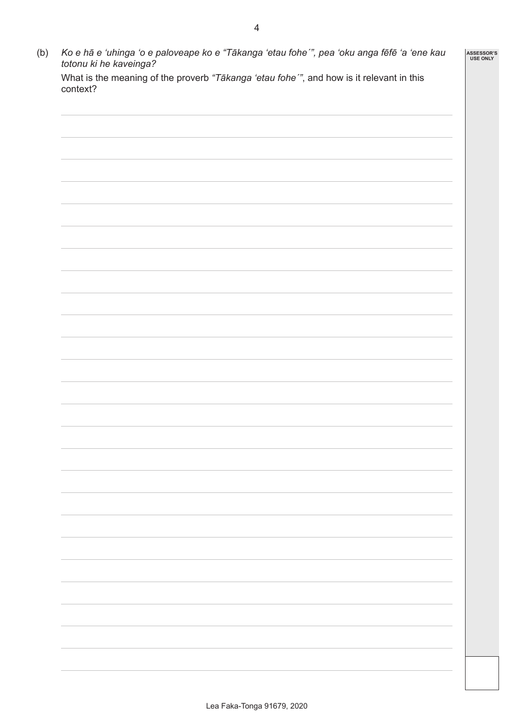| context? |  | What is the meaning of the proverb "Tākanga 'etau fohe'", and how is it relevant in this |  |
|----------|--|------------------------------------------------------------------------------------------|--|
|          |  |                                                                                          |  |
|          |  |                                                                                          |  |
|          |  |                                                                                          |  |
|          |  |                                                                                          |  |
|          |  |                                                                                          |  |
|          |  |                                                                                          |  |
|          |  |                                                                                          |  |
|          |  |                                                                                          |  |
|          |  |                                                                                          |  |
|          |  |                                                                                          |  |
|          |  |                                                                                          |  |
|          |  |                                                                                          |  |
|          |  |                                                                                          |  |
|          |  |                                                                                          |  |
|          |  |                                                                                          |  |
|          |  |                                                                                          |  |
|          |  |                                                                                          |  |
|          |  |                                                                                          |  |
|          |  |                                                                                          |  |
|          |  |                                                                                          |  |
|          |  |                                                                                          |  |
|          |  |                                                                                          |  |
|          |  |                                                                                          |  |
|          |  |                                                                                          |  |
|          |  |                                                                                          |  |
|          |  |                                                                                          |  |
|          |  |                                                                                          |  |
|          |  |                                                                                          |  |
|          |  |                                                                                          |  |
|          |  |                                                                                          |  |
|          |  |                                                                                          |  |
|          |  |                                                                                          |  |
|          |  |                                                                                          |  |
|          |  |                                                                                          |  |
|          |  |                                                                                          |  |
|          |  |                                                                                          |  |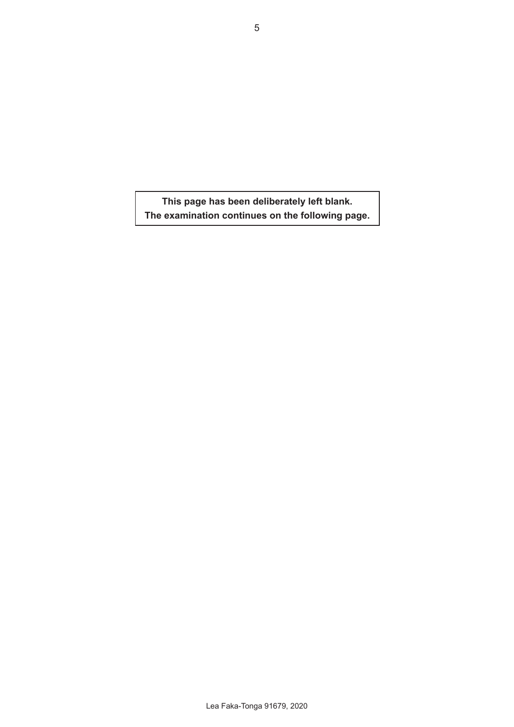**This page has been deliberately left blank. The examination continues on the following page.**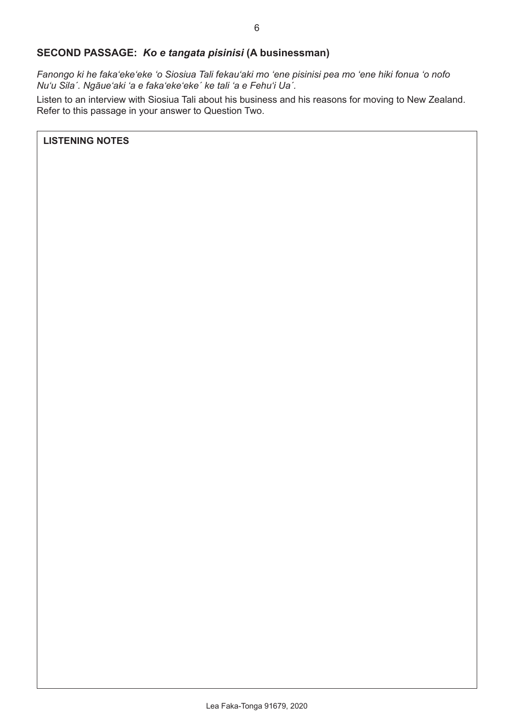# **SECOND PASSAGE:** *Ko e tangata pisinisi* **(A businessman)**

*Fanongo ki he fakaʻekeʻeke 'o Siosiua Tali fekauʻaki mo 'ene pisinisi pea mo 'ene hiki fonua 'o nofo Nuʻu Silaˊ. Ngāueʻaki 'a e fakaʻekeʻekeˊ ke tali 'a e Fehuʻi Uaˊ.*

Listen to an interview with Siosiua Tali about his business and his reasons for moving to New Zealand. Refer to this passage in your answer to Question Two.

**LISTENING NOTES**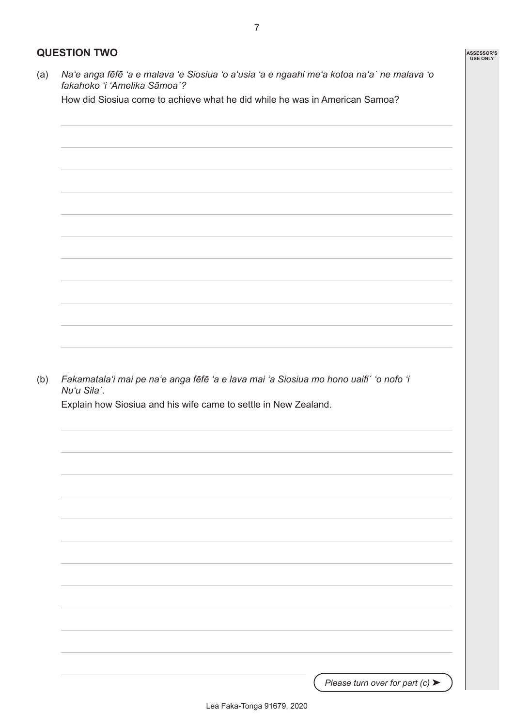# **QUESTION TWO**

(a) *Na'e anga fēfē 'a e malava 'e Siosiua 'o a'usia 'a e ngaahi me'a kotoa na'aˊ ne malava 'o fakahoko 'i 'Amelika Sāmoaˊ?*

How did Siosiua come to achieve what he did while he was in American Samoa?

(b) *Fakamatalaʻi mai pe naʻe anga fēfē 'a e lava mai 'a Siosiua mo hono uaifiˊ 'o nofo 'i Nuʻu Silaˊ.* 

Explain how Siosiua and his wife came to settle in New Zealand.

*Please turn over for part (c)* ▶

**ASSESSOR'S USE ONLY**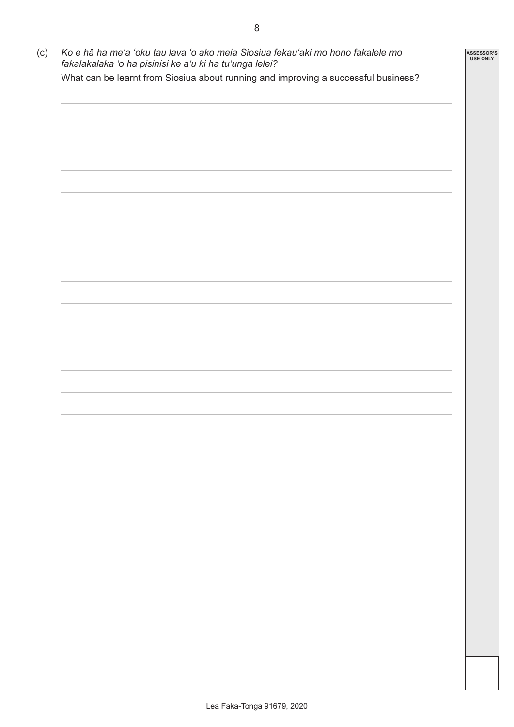(c) *Ko e hā ha meʻa 'oku tau lava 'o ako meia Siosiua fekauʻaki mo hono fakalele mo fakalakalaka 'o ha pisinisi ke a'u ki ha tu'unga lelei?*  What can be learnt from Siosiua about running and improving a successful business? **ASSESSOR'S USE ONLY**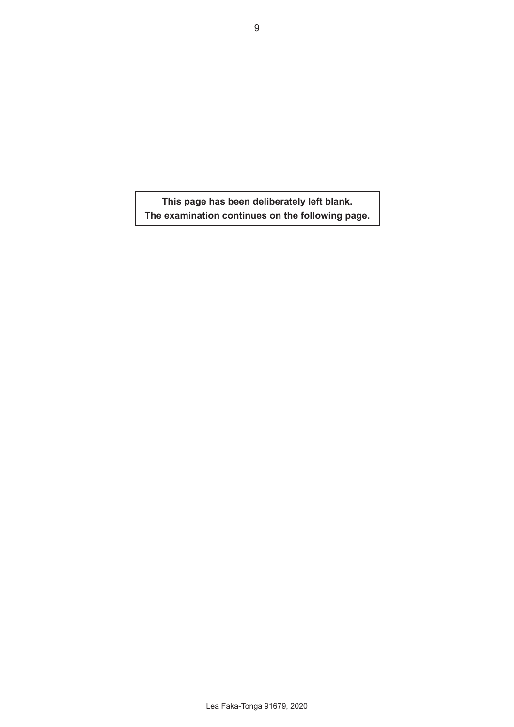**This page has been deliberately left blank. The examination continues on the following page.**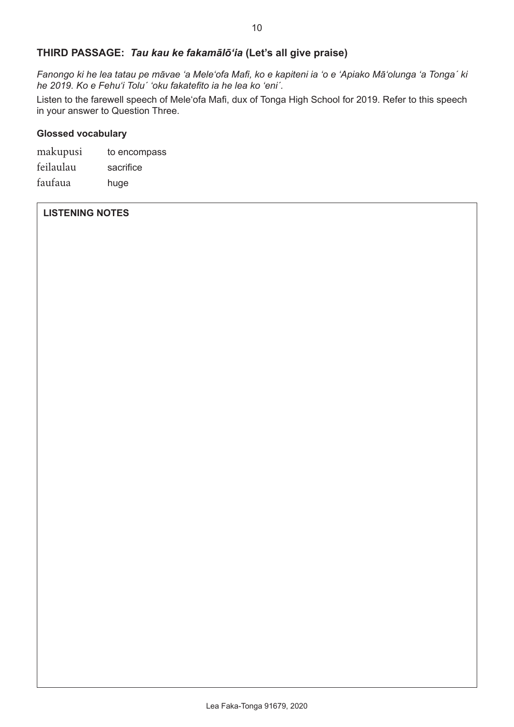### **THIRD PASSAGE:** *Tau kau ke fakamālōʻia* **(Let's all give praise)**

*Fanongo ki he lea tatau pe māvae 'a Meleʻofa Mafi, ko e kapiteni ia 'o e 'Apiako Māʻolunga 'a Tongaˊ ki he 2019. Ko e Fehuʻi Toluˊ 'oku fakatefito ia he lea ko ʻeniˊ.*

Listen to the farewell speech of Meleʻofa Mafi, dux of Tonga High School for 2019. Refer to this speech in your answer to Question Three.

#### **Glossed vocabulary**

| makupusi  | to encompass |
|-----------|--------------|
| feilaulau | sacrifice    |
| faufaua   | huge         |

#### **LISTENING NOTES**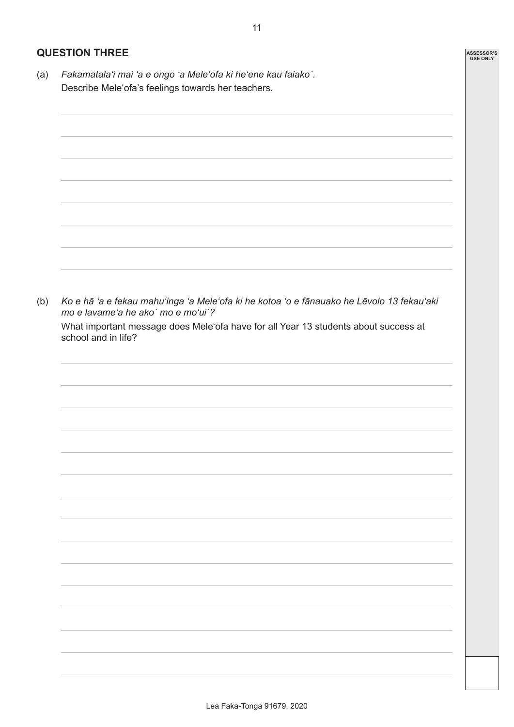#### **QUESTION THREE**

(a) *Fakamatalaʻi mai 'a e ongo 'a Meleʻofa ki heʻene kau faiakoˊ.* Describe Meleʻofa's feelings towards her teachers.



**ASSESSOR'S USE ONLY**